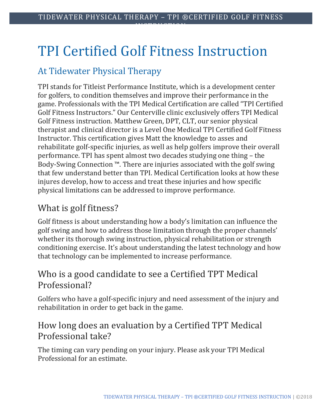# TPI Certified Golf Fitness Instruction

## At Tidewater Physical Therapy

TPI stands for Titleist Performance Institute, which is a development center for golfers, to condition themselves and improve their performance in the game. Professionals with the TPI Medical Certification are called "TPI Certified Golf Fitness Instructors." Our Centerville clinic exclusively offers TPI Medical Golf Fitness instruction. Matthew Green, DPT, CLT, our senior physical therapist and clinical director is a Level One Medical TPI Certified Golf Fitness Instructor. This certification gives Matt the knowledge to asses and rehabilitate golf-specific injuries, as well as help golfers improve their overall performance. TPI has spent almost two decades studying one thing – the Body-Swing Connection ™. There are injuries associated with the golf swing that few understand better than TPI. Medical Certification looks at how these injures develop, how to access and treat these injuries and how specific physical limitations can be addressed to improve performance.

## What is golf fitness?

Golf fitness is about understanding how a body's limitation can influence the golf swing and how to address those limitation through the proper channels' whether its thorough swing instruction, physical rehabilitation or strength conditioning exercise. It's about understanding the latest technology and how that technology can be implemented to increase performance.

### Who is a good candidate to see a Certified TPT Medical Professional?

Golfers who have a golf-specific injury and need assessment of the injury and rehabilitation in order to get back in the game.

## How long does an evaluation by a Certified TPT Medical Professional take?

The timing can vary pending on your injury. Please ask your TPI Medical Professional for an estimate.